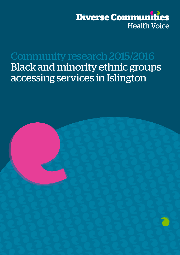

Community research 2015/2016 Black and minority ethnic groups accessing services in Islington

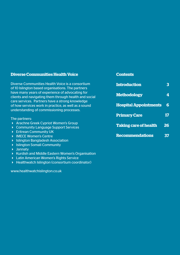| <b>Diverse Communities Health Voice</b>                                                                                                                          | <b>Contents</b>              |    |
|------------------------------------------------------------------------------------------------------------------------------------------------------------------|------------------------------|----|
| Diverse Communities Health Voice is a consortium<br>of 10 Islington based organisations. The partners                                                            | <b>Introduction</b>          | 3  |
| have many years of experience of advocating for<br>clients and navigating them through health and social                                                         | <b>Methodology</b>           | 4  |
| care services. Partners have a strong knowledge<br>of how services work in practice, as well as a sound<br>understanding of commissioning processes.             | <b>Hospital Appointments</b> | 6  |
|                                                                                                                                                                  | <b>Primary Care</b>          | 17 |
| The partners:<br><b>Arachne Greek Cypriot Women's Group</b><br><b>Community Language Support Services</b>                                                        | <b>Taking care of health</b> | 26 |
| <b>Eritrean Community UK</b><br>$\blacktriangleright$<br><b>IMECE Women's Centre</b><br>D.<br><b>Islington Bangladesh Association</b><br>$\blacktriangleright$ . | <b>Recommendations</b>       | 37 |
| <b>Islington Somali Community</b><br>Y.                                                                                                                          |                              |    |
| <b>Jannaty</b><br>$\blacktriangleright$<br>Kurdish and Middle Eastern Women's Organisation<br>Þ.<br>Latin American Women's Rights Service                        |                              |    |
| Healthwatch Islington (consortium coordinator)                                                                                                                   |                              |    |

www.healthwatchislington.co.uk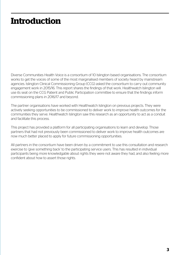# **Introduction**

Diverse Communities Health Voice is a consortium of 10 Islington based organisations. The consortium works to get the voices of some of the most marginalised members of society heard by mainstream agencies. Islington Clinical Commissioning Group (CCG) asked the consortium to carry out community engagement work in 2015/16. This report shares the findings of that work. Healthwatch Islington will use its seat on the CCG Patient and Public Participation committee to ensure that the findings inform commissioning plans in 2016/17 and beyond.

The partner organisations have worked with Healthwatch Islington on previous projects. They were actively seeking opportunities to be commissioned to deliver work to improve health outcomes for the communities they serve. Healthwatch Islington saw this research as an opportunity to act as a conduit and facilitate this process.

This project has provided a platform for all participating organisations to learn and develop. Those partners that had not previously been commissioned to deliver work to improve health outcomes are now much better placed to apply for future commissioning opportunities.

All partners in the consortium have been driven by a commitment to use this consultation and research exercise to 'give something back' to the participating service users. This has resulted in individual participants being more knowledgable about rights they were not aware they had, and also feeling more confident about how to assert those rights.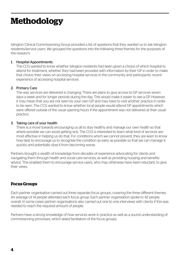# **Methodology**

Islington Clinical Commissioning Group provided a list of questions that they wanted us to ask Islington residents/service users. We grouped the questions into the following three themes for the purposes of the research:

#### 1. Hospital Appointments

The CCG wanted to know whether Islington residents had been given a choice of which hospital to attend for treatment, whether they had been provided with information by their GP in order to make that choice, their views on accessing hospital services in the community and participants' recent experience of accessing hospital services

#### 2. Primary Care

The way services are delivered is changing. There are plans to give access to GP services seven days a week and for longer periods during the day. This would make it easier to see a GP. However, it may mean that you are not seen by your own GP and may have to visit another practice in order to be seen. The CCG wanted to know whether local people would attend GP appointments which were offered outside of the usual opening hours if the appointment was not delivered at their usual practice.

#### 3. Taking care of your health

There is a move towards encouraging us all to stay healthy and manage our own health so that where possible we can avoid getting sick. The CCG is interested to learn what kind of services are most effective in helping us do that. For conditions which we cannot prevent, they are keen to know how best to encourage us to recognise the condition as early as possible so that we can manage it quickly and potentially stop it from becoming worse.

Partners brought a wealth of knowledge from decades of experience advocating for clients and navigating them through health and social care services, as well as providing housing and benefits advice. This enabled them to encourage service users, who may otherwise have been reluctant, to give their views.

## **Focus Groups**

Each partner organisation carried out three separate focus groups, covering the three different themes. An average of 14 people attended each focus group. Each partner organisation spoke to 42 people overall. In some cases partner organisations also carried out one to one interviews with clients if this was needed to reach the required amount of people.

Partners have a strong knowledge of how services work in practice as well as a sound understanding of commissioning processes, which aided facilitation of the focus groups.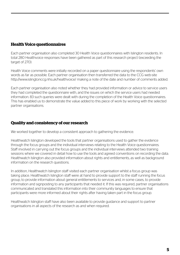## **Health Voice questionnaires**

Each partner organisation also completed 30 Health Voice questionnaires with Islington residents. In total 280 Healthvoice responses have been gathered as part of this research project (exceeding the target of 270).

Health Voice comments were initially recorded on a paper questionnaire using the respondents' own words as far as possible. Each partner organisation then transferred the data to the CCG web-site http://www.islingtonccg.nhs.uk/healthvoice/ making a note of the date and number of comments added.

Each partner organisation also noted whether they had provided information or advice to service users they had completed the questionnaire with, and the issues on which the service users had needed information. 83 such queries were dealt with during the completion of the Health Voice questionnaires. This has enabled us to demonstrate the value added to this piece of work by working with the selected partner organisations.

## **Quality and consistency of our research**

We worked together to develop a consistent approach to gathering the evidence.

Healthwatch Islington developed the tools that partner organisations used to gather the evidence through the focus groups and the individual interviews relating to the Health Voice questionnaires. Staff involved in carrying out the focus groups and the individual interviews attended two training sessions where we covered in detail how to use the tools and agreed conventions on recording the data. Healthwatch Islington also provided information about rights and entitlements, as well as background information on the research questions.

In addition, Healthwatch Islington staff visited each partner organisation whilst a focus group was taking place. Healthwatch Islington staff were at hand to provide support to the staff running the focus group, to provide information about general entitlements to services and, in some cases, to provide information and signposting to any participants that needed it. If this was required, partner organisations communicated and translated this information into their community languages to ensure that participants were more informed about their rights after having taken part in the focus group.

Healthwatch Islington staff have also been available to provide guidance and support to partner organisations in all aspects of the research as and when required.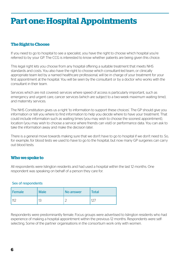## **Part one: Hospital Appointments**

## **The Right to Choose**

If you need to go to hospital to see a specialist, you have the right to choose which hospital you're referred to by your GP. The CCG is interested to know whether patients are being given this choice.

This legal right lets you choose from any hospital offering a suitable treatment that meets NHS standards and costs. You also have the right to choose which consultant-led team, or clinically appropriate team led by a named healthcare professional, will be in charge of your treatment for your first appointment at the hospital. You will be seen by the consultant or by a doctor who works with the consultant in their team.

Services which are not covered: services where speed of access is particularly important, such as emergency and urgent care, cancer services (which are subject to a two-week maximum waiting time), and maternity services.

The NHS Constitution gives us a right 'to information to support these choices'. The GP should give you information or tell you where to find information to help you decide where to have your treatment. That could include information such as waiting times (you may wish to choose the soonest appointment), location (you may wish to choose a service where friends can visit) or performance data. You can ask to take the information away and make the decision later.

There is a general move towards making sure that we don't have to go to hospital if we don't need to. So, for example, for blood tests we used to have to go to the hospital, but now many GP surgeries can carry out blood tests.

## **Who we spoke to**

All respondents were Islington residents and had used a hospital within the last 12 months. One respondent was speaking on behalf of a person they care for.

#### Sex of respondents

| Female | <b>Male</b>       | <b>No answer</b> | <b>Total</b> |
|--------|-------------------|------------------|--------------|
|        | $1^{\sim}$<br>. . | ╭                | $\sim$       |

Respondents were predominantly female. Focus groups were advertised to Islington residents who had experience of making a hospital appointment within the previous 12 months. Respondents were selfselecting. Some of the partner organisations in the consortium work only with women.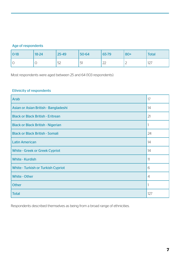## Age of respondents

| $ 0-18$ | $18 - 24$ | 25-49 | 50-64 | 65-79        | $80+$ | <b>Total</b> |
|---------|-----------|-------|-------|--------------|-------|--------------|
| $\circ$ |           | 52    | 51    | $\cap$<br>LL | ∸     | 127          |

Most respondents were aged between 25 and 64 (103 respondents).

## Ethnicity of respondents

| <b>Arab</b>                               | 17             |
|-------------------------------------------|----------------|
| Asian or Asian British - Bangladeshi      | 14             |
| <b>Black or Black British - Eritrean</b>  | 21             |
| <b>Black or Black British - Nigerian</b>  |                |
| <b>Black or Black British - Somali</b>    | 24             |
| <b>Latin American</b>                     | 14             |
| <b>White - Greek or Greek Cypriot</b>     | 14             |
| <b>White - Kurdish</b>                    | 11             |
| <b>White - Turkish or Turkish Cypriot</b> | 6              |
| <b>White - Other</b>                      | $\overline{4}$ |
| <b>Other</b>                              |                |
| <b>Total</b>                              | 127            |

Respondents described themselves as being from a broad range of ethnicities.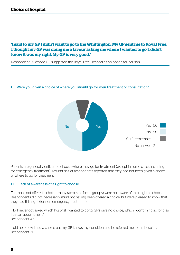## **'I said to my GP I didn't want to go to the Whittington. My GP sent me to Royal Free. I thought my GP was doing me a favour asking me where I wanted to go! I didn't know it was my right. My GP is very good.'**

Respondent 91, whose GP suggested the Royal Free Hospital as an option for her son

#### **1.** Were you given a choice of where you should go for your treatment or consultation?



Patients are generally entitled to choose where they go for treatment (except in some cases including for emergency treatment). Around half of respondents reported that they had not been given a choice of where to go for treatment.

#### 1-1. Lack of awareness of a right to choose

For those not offered a choice, many (across all focus groups) were not aware of their right to choose. Respondents did not necessarily mind not having been offered a choice, but were pleased to know that they had this right (for non-emergency treatment).

'No, I never got asked which hospital I wanted to go to. GP's give no choice, which I don't mind so long as I get an appointment.' Respondent 47

'I did not know I had a choice but my GP knows my condition and he referred me to the hospital.' Respondent 21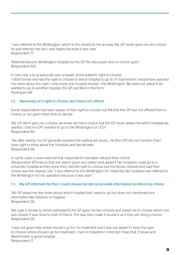'I was referred to the Whittington, which is the closest to me anyway. My GP never gave me any choice, he just referred me, but I was happy because it was near.' Respondent 71

'Referred twice to Whittington Hospital by the GP. No discussion and no choice given.' Respondent 100

In one case a local advocate was unaware of the patient's right to choose: 'I didn't know one had the right to choose to which hospital to go to. If I had known I would have advised my client about this right. I only knew one hospital existed - the Whittington. We were not asked if we wanted to go to another hospital, the GP just filled in the form.' Participant 88

### 1-2. Awareness of a right to choose, but choice not offered

Some respondents had been aware of their right to choose, but felt that the GP had not offered them a choice, or not given them time to decide.

'My GP didn't give me a choice, we knew we had a choice, but the GP never asked me which hospital we wanted. I told my GP I wanted to go to the Whittington or UCH.' Respondent 89

'Yes after asking, my GP generally explains the waiting list issues… He [the GP] did not mention that I have right to think about the hospitals and decide later.' Respondent 66

In some cases it even seemed that respondents had been refused their choice. '[Respondent 87] told us that she wasn't given any option and asked if her husband could go to a university hospital as they knew they had the right to choose but the doctor refused and said their choice was the nearest one. "I was referred to the Whittington for maternity. My husband was referred to the Whittington for his operation because it was near".'

#### 1-3. My GP informed me that I could choose but did not provide information to inform my choice

'My GP asked me few times about which hospital that I want to go but does not mentioned any information like distance or hygiene.' Respondent 58

'My case is similar to [other participant], the GP gave me two choices and asked me to choose which one was closest (I was close to both of them). The way they make it sound is as if they are doing a favour.' Respondent 90

'I was not given help where should I go for my treatment and I was not aware if I have the right to choose where should I go for treatment. I had no hospital in mind but I hear that Chelsea and Westminster is good hospital.' Respondent 17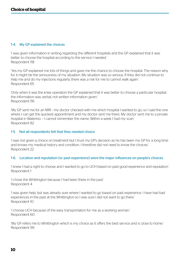#### 1-4. My GP explained the choices

'I was given information in writing regarding the different hospitals and the GP explained that it was better to choose the hospital according to the service I needed.' Respondent 118

'Yes my GP explained me lots of things and gave me the chance to choose the hospital. The reason why for it might be the seriousness of my situation. My situation was so serious. If they did not continue to help me and do my injections regularly, there was a risk for me to cannot walk again.' Respondent 65

'Only when it was the knee operation the GP explained that it was better to choose a particular hospital, the information was verbal, not written information given.' Respondent 116

'My GP sent me for an MRI - my doctor checked with me which hospital I wanted to go, so I said the one where I can get the quickest appointment and my doctor sent me there. My doctor sent me to a private hospital in Waterloo – I cannot remember the name. Within a week I had my scan.' Respondent 82

#### 1-5. Not all respondents felt that they needed choice

'I was not given a choice on treatment but I trust my GP's decision as he has been my GP for a long time and knows my medical history and condition. I therefore did not need to know the choices.' Respondent 22

#### 1-6. Location and reputation (or past experience) were the major influences on people's choices

'I knew I had a right to choose and I wanted to go to UCH based on past good experience and reputation.' Respondent 1

'I chose the Whittington because I had been there in the past.' Respondent 4

'I was given help, but was already sure where I wanted to go based on past experience. I have had bad experiences in the past at the Whittington so I was sure I did not want to go there.' Respondent 10

'I choose UCH because of the easy transportation for me as a working woman.' Respondent 60

'My GP refers me to Whittington which is my choice as it offers the best service and is close to home.' Respondent 99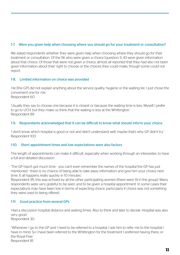## 1-7. Were you given help when choosing where you should go for your treatment or consultation?

We asked respondents whether they were given help when choosing where they should go for their treatment or consultation. Of the 56 who were given a choice (question 1), 43 were given information about that choice. Of those that were not given a choice, almost all reported that they had also not been given information about their right to choose or the choices they could make, though some could not report.

## 1-8. Limited information on choice was provided

'He [the GP] did not explain anything about the service quality, hygiene or the waiting list. I just chose the convenient one for me.' Respondent 60

'Usually they say to choose one because it is closest or because the waiting time is less. Myself, I prefer to go to UCH, but they make us think that the waiting is less at the Whittington.' Respondent 89

### 1-9. Respondents acknowledged that it can be difficult to know what should inform your choice

'I don't know which hospital is good or not and didn't understand well, maybe that's why GP didn't try.' Respondent 100

### 1-10. Short appointment times and low expectations were also factors

The length of appointments can make it difficult, especially when working through an interpreter, to have a full and detailed discussion.

'The GP hasn't got much time - you can't even remember the names of the hospital the GP has just mentioned - there is no chance of being able to take away information and give him your choice next time. It all happens really quickly in 10 minutes.'

Respondent 95, this was echoed by all the other participating women (there were 14 in the group). Many respondents were very grateful to be seen, and to be given a hospital appointment. In some cases their expectations may have been low in terms of expecting choice, particularly if choice was not something they were used to being offered.

## 1-11. Good practice from several GPs

'Had a discussion hospital distance and waiting times. Also to think and later to decide. Hospital was also very good.' Respondent 30

''Whenever I go to the GP and I need to be referred to a hospital, I ask him to refer me to the hospital I have in mind. So I have been referred to the Whittington for the treatment I preferred having there, or the Royal Free.' Respondent 81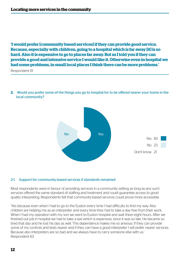**'I would prefer [community based services] if they can provide good service. Because, especially with children, going to a hospital which is far away [it] is so hard. Also it is expensive to go to places far away. But as I told you if they can provide a good and intensive service I would like it. Otherwise even in hospital we had some problems, in small local places I think there can be more problems.'**

Respondent 61

**2.** Would you prefer some of the things you go to hospital for to be offered nearer your home in the local community?



#### 2-1. Support for community-based services if standards remained

Most respondents were in favour of providing services in a community setting as long as any such services offered the same standard of staffing and treatment and could guarantee access to good quality interpreting. Respondents felt that community-based services could prove more accessible.

'Yes because even when I had to go to the Euston every time I had difficulty to find my way. Also children are helping me as an interpreter and every time they had to take a day free from their work. When I had my operation with my son we went to Euston hospital and wait there eight hours. After we finished out job in hospital we had to take a taxi which is expensive, since it was so late. He became so tired that day and he lost his day as well. This dependence makes me so anxious. If they can provide some of my controls and tests nearer and if they can have a good interpreter I will prefer nearer services. Because also interpreters are so bad and we always have to carry someone else with us.' Respondent 63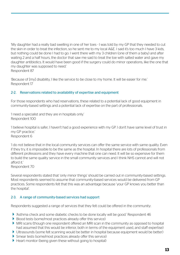'My daughter had a really bad swelling in one of her toes - I was told by my GP that they needed to cut the skin in order to treat the infection, so he sent me to my local A&E. I said it's too much I have 3 kids, but nothing could be done I had to go. I went there with my 3 children (one of them a baby) and after waiting 2 and a half hours, the doctor that saw me said to treat the toe with salted water and gave my daughter antibiotics. It would have been good if the surgery could do minor operations, like the one that my daughter was supposed to need.' Respondent 87

'Because of [my] disability, I like the service to be close to my home. It will be easier for me.' Respondent 17

#### 2-2. Reservations related to availability of expertise and equipment

For those respondents who had reservations, these related to a potential lack of good equipment in community-based settings and a potential lack of expertise on the part of professionals.

'I need a specialist and they are in hospitals only.' Respondent 100

'I believe hospital is safer, I haven't had a good experience with my GP. I don't have same level of trust in my GP practice.' Respondent 6

'I do not believe that in the local community services can offer the same service with same quality. Even if they try, it is impossible to be the same as the hospital. In hospital there are lots of professionals from different professions and they have every machine that one can need. It will be so expensive for them to build the same quality service in the small community services and I think NHS cannot and will not afford it.'

Respondent 70

Several respondents stated that 'only minor things' should be carried out in community-based settings. Most respondents seemed to assume that community-based services would be delivered from GP practices. Some respondents felt that this was an advantage because 'your GP knows you better than the hospital'.

#### 2-3. A range of community-based services had support

Respondents suggested a range of services that they felt could be offered in the community:

- 'Asthma check and some diabetic checks to be done locally will be good.' Respondent 46
- Blood tests (some/most practices already offer this service)
- MRI scans (though one respondent offered an MRI scan in the community as opposed to hospital had assumed that this would be inferior, both in terms of the equipment used, and staff expertise)
- Ultrasounds (some felt scanning would be better in hospital because equipment would be better)
- Smear tests (some/most practices already offer this service)
- Heart monitor (being given these without going to hospital)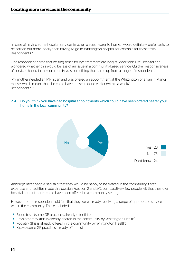'In case of having some hospital services in other places nearer to home, I would definitely prefer tests to be carried out more locally than having to go to Whittington hospital for example for these tests.' Respondent 65

One respondent noted that waiting times for eye treatment are long at Moorfields Eye Hospital and wondered whether this would be less of an issue in a community-based service. Quicker responsiveness of services based in the community was something that came up from a range of respondents.

'My mother needed an MRI scan and was offered an appointment at the Whittington or a van in Manor House, which meant that she could have the scan done earlier (within a week).' Respondent 92

#### 2-4. Do you think you have had hospital appointments which could have been offered nearer your home in the local community?



Although most people had said that they would be happy to be treated in the community if staff expertise and facilities made this possible (section 2 and 2-1), comparatively few people felt that their own hospital appointments could have been offered in a community setting.

However, some respondents did feel that they were already receiving a range of appropriate services within the community. These included:

- Blood tests (some GP practices already offer this)
- Physiotherapy (this is already offered in the community by Whittington Health)
- Podiatry (this is already offered in the community by Whittington Health)
- X-rays (some GP practices already offer this)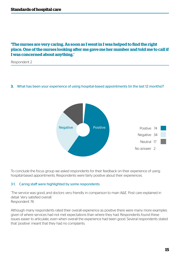## **'The nurses are very caring. As soon as I went in I was helped to find the right place. One of the nurses looking after me gave me her number and told me to call if I was concerned about anything.'**

Respondent 2

#### **3.** What has been your experience of using hospital-based appointments (in the last 12 months)?



To conclude the focus group we asked respondents for their feedback on their experience of using hospital-based appointments. Respondents were fairly positive about their experiences.

#### 3-1. Caring staff were highlighted by some respondents

'The service was good, and doctors very friendly in comparison to main A&E. Post care explained in detail. Very satisfied overall.' Respondent 76

Although many respondents rated their overall experience as positive there were many more examples given of where services had not met expectations than where they had. Respondents found these issues easier to articulate, even when overall the experience had been good. Several respondents stated that 'positive' meant that they had no complaints.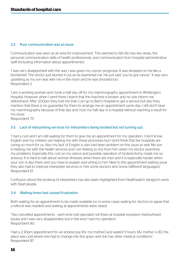#### 3-2. Poor communication was an issue

Communication was seen as an area for improvement. This seemed to fall into two key areas, the personal communication skills of health professionals, and communication from hospital administrative staff (including information about appointments).

'I was very disappointed with the way I was given my cancer prognosis. It was dropped on me like a bombshell. The doctor just blurted it out as he examined me. He just said 'you've got cancer'. It was very upsetting as my son was with me in the room and he was shocked too.' Respondent 2

'I am a working woman and I took a half day off for my mammography appointment in Whittington Hospital. However when I went there I learnt that the machine is broken and no one inform me beforehand. After 3.00pm they told me that I can go to Bart's hospital to get a service but also they mention that there is no guarantee for them to arrange me an appointment same day. I still don't have my mammography because of that day and I lost my half day in a hospital without reaching a result for my issue.'

Respondent 75

#### 3-3. Lack of interpreting services (or interpreters being booked but not turning up),

'I had a cyst and I am still waiting for them to give me an appointment for my operation. I don't know English and my children are helping me with these processes but I don't think that the hospitals are caring so much for us. Also my lack of English is also had been problem on this issue as well. My son is helping me with the health services and I am feeling so shy from him when my doctor examines my problems. Especially this cyst on my uterus and possible operation of hysterectomy made me so anxious. It is hard to talk about women illnesses when there are men and it is especially harder when your son is also there and you have to explain everything to him. Next to the appointment waiting issue they also had to improve interpreter services or hire some doctors who know [different languages].' Respondent 61

Confusion about the booking of interpreters has also been highlighted from Healthwatch Islington's work with Deaf people.

#### 3-4. Waiting times had caused frustration

Both waiting for an appointment to be made available (or in some cases waiting for doctors to agree that a referral was needed) and waiting at appointments were raised.

'Two cancelled appointments - each time told specialist not there at hospital reception; Kidney/heart issues and I was very disappointed, but in the end I had my operation.' Respondent 80

'Had a 2.30pm appointment for an endoscopy [for my mother] and waited 5 hours. My mother is 80, the place was cold where she had to change into the gown and she has other medical conditions.' Respondent 87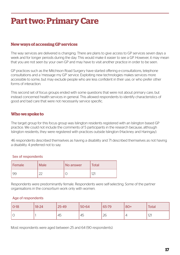## **Part two: Primary Care**

## **New ways of accessing GP services**

The way services are delivered is changing. There are plans to give access to GP services seven days a week and for longer periods during the day. This would make it easier to see a GP. However, it may mean that you are not seen by your own GP and may have to visit another practice in order to be seen.

GP practices such as the Mitchison Road Surgery have started offering e-consultations, telephone consultations and a 'message my GP' service. Exploiting new technologies makes services more accessible to some, but may exclude people who are less confident in their use, or who prefer other forms of interaction.

This second set of focus groups ended with some questions that were not about primary care, but instead concerned health services in general. This allowed respondents to identify characteristics of good and bad care that were not necessarily service specific.

## **Who we spoke to**

The target group for this focus group was Islington residents registered with an Islington based GP practice. We could not include the comments of 5 participants in the research because, although Islington residents, they were registered with practices outside Islington (Hackney and Haringay).

46 respondents described themselves as having a disability and 71 described themselves as not having a disability. 4 preferred not to say.

#### Sex of respondents

| Female | <b>Male</b> | i No answer | <b>Total</b> |
|--------|-------------|-------------|--------------|
| 99     | ~~          |             | ∠            |

Respondents were predominantly female. Respondents were self-selecting. Some of the partner organisations in the consortium work only with women.

#### Age of respondents

| $ O-18$ | $18 - 24$ | 25-49 | $ 50 - 64 $ | 65-79 | $ 80+$ | Total |
|---------|-----------|-------|-------------|-------|--------|-------|
| ' C     |           | 45    | 45          | 26    |        | 121   |

Most respondents were aged between 25 and 64 (90 respondents).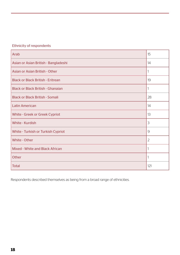## Ethnicity of respondents

| <b>Arab</b>                               | 15             |
|-------------------------------------------|----------------|
| Asian or Asian British - Bangladeshi      | 14             |
| <b>Asian or Asian British - Other</b>     |                |
| <b>Black or Black British - Eritrean</b>  | 19             |
| <b>Black or Black British - Ghanaian</b>  | 1              |
| <b>Black or Black British - Somali</b>    | 28             |
| <b>Latin American</b>                     | 14             |
| <b>White - Greek or Greek Cypriot</b>     | 13             |
| <b>White - Kurdish</b>                    | 3              |
| <b>White - Turkish or Turkish Cypriot</b> | 9              |
| <b>White - Other</b>                      | $\overline{2}$ |
| <b>Mixed - White and Black African</b>    |                |
| <b>Other</b>                              |                |
| <b>Total</b>                              | 121            |

Respondents described themselves as being from a broad range of ethnicities.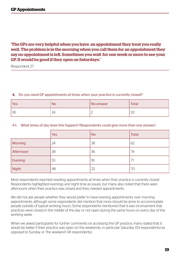## **'The GPs are very helpful when you have an appointment they treat you really well. The problem is in the morning when you call them for an appointment they say no appointment is left. Sometimes you wait for one week or more to see your GP. It would be good if they open on Saturdays.'**

Respondent 27

#### **4.** Do you need GP appointments at times when your practice is currently closed?

| Yes | NС | No answer | <b>Total</b>        |
|-----|----|-----------|---------------------|
| 95  | ∠⊣ | <u>_</u>  | $1^{\sim}1$<br>14 I |

#### 4-1. What times of day does this happen? (Respondents could give more than one answer)

|                | <b>Yes</b> | <b>No</b> | <b>Total</b> |
|----------------|------------|-----------|--------------|
| <b>Morning</b> | 24         | 38        | 62           |
| Afternoon      | 38         | 36        | 74           |
| Evening        | 53         | 18        | 71           |
| <b>Night</b>   | 48         | 22        | 70           |

Most respondents reported needing appointments at times when their practice is currently closed. Respondents highlighted evenings and night time as issues, but many also noted that there were afternoons when their practice was closed and they needed appointments.

We did not ask people whether they would prefer to have evening appointments over morning appointments, although some respondents did mention that more should be done to accommodate people outside of typical working hours. Some respondents mentioned that it was inconvenient that practices were closed in the middle of the day or not open during the same hours on every day of the working week.

When we asked participants for further comments on accessing the GP practice, many stated that it would be better if their practice was open on the weekends, in particular Saturday (53 respondents) as opposed to Sunday or 'the weekend' (41 respondents).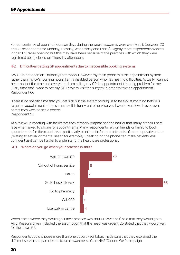For convenience of opening hours on days during the week responses were evenly split (between 20 and 22 respondents for Monday, Tuesday, Wednesday and Friday). Slightly more respondents wanted longer Thursday opening but this may have been because of the practices with which they were registered being closed on Thursday afternoons.

#### 4-2. Difficulties getting GP appointments due to inaccessible booking systems

'My GP is not open on Thursdays afternoon. However my main problem is the appointment system rather than my GP's working hours. I am a disabled person who has hearing difficulties. Actually I cannot hear most of the time and every time I am calling my GP for appointment it is a big problem for me. Every time that I want to see my GP I have to visit the surgery in order to take an appointment.' Respondent 66

'There is no specific time that you get sick but the system forcing us to be sick at morning before 8 to get an appointment at the same day. It is funny but otherwise you have to wait few days or even sometimes week to see a doctor.' Respondent 57

At a follow up meeting with facilitators they strongly emphasised the barrier that many of their users face when asked to phone for appointments. Many respondents rely on friends or family to book appointments for them and this is particularly problematic for appointments of a more private nature (relating to sexual or mental health for example). Speaking on the phone can make patients less confident as it can be harder to understand the healthcare professional.

#### 4-3. Where do you go when your practice is shut?



When asked where they would go if their practice was shut 66 (over half) said that they would go to A&E. Reasons given included the assumption that the need was urgent. 26 stated that they would wait for their own GP.

Respondents could choose more than one option. Facilitators made sure that they explained the different services to participants to raise awareness of the NHS 'Choose Well' campaign.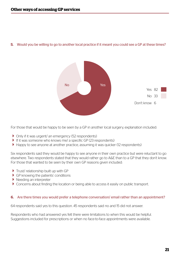



For those that would be happy to be seen by a GP in another local surgery, explanation included:

- ▶ Only if it was urgent/ an emergency (52 respondents)
- If it was someone who knows me/ a specific GP (23 respondents)
- Happy to see anyone at another practice, assuming it was quicker (12 respondents)

Six respondents said they would be happy to see anyone in their own practice but were reluctant to go elsewhere. Two respondents stated that they would rather go to A&E than to a GP that they don't know. For those that wanted to be seen by their own GP reasons given included:

- $\blacktriangleright$  Trust/ relationship built up with GP
- GP knowing the patients' conditions
- $\blacktriangleright$  Needing an interpreter
- Concerns about finding the location or being able to access it easily on public transport.

#### **6.** Are there times you would prefer a telephone conversation/email rather than an appointment?

64 respondents said yes to this question. 45 respondents said no and 15 did not answer.

Respondents who had answered yes felt there were limitations to when this would be helpful. Suggestions included for prescriptions or when no face-to-face appointments were available.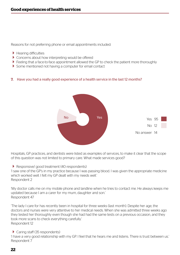Reasons for not preferring phone or email appointments included:

- $\blacktriangleright$  Hearing difficulties
- ▶ Concerns about how interpreting would be offered
- Feeling that a face-to-face appointment allowed the GP to check the patient more thoroughly
- $\blacktriangleright$  Some mentioned not having a computer for email contact

#### **7.** Have you had a really good experience of a health service in the last 12 months?



Hospitals, GP practices, and dentists were listed as examples of services, to make it clear that the scope of this question was not limited to primary care. What made services good?

Responsive/ good treatment (40 respondents)

'I saw one of the GP's in my practice because I was passing blood. I was given the appropriate medicine which worked well. I felt my GP dealt with my needs well.' Respondent 2

'My doctor calls me on my mobile phone and landline when he tries to contact me. He always keeps me updated because I am a carer for my mum, daughter and son.' Respondent 47

'The lady I care for has recently been in hospital for three weeks (last month). Despite her age, the doctors and nurses were very attentive to her medical needs. When she was admitted three weeks ago they tested her thoroughly even though she had had the same tests on a previous occasion, and they took more scans to check everything carefully.' Respondent 12

▶ Caring staff (35 respondents)

'I have a very good relationship with my GP. I feel that he hears me and listens. There is trust between us.' Respondent 7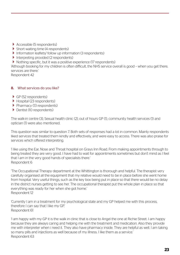- Accessible (5 respondents)
- $\triangleright$  Short waiting time (4 respondents)
- Information leaflets/ follow up information (3 respondents)
- Interpreting provided  $(2 \text{ respondents})$
- ▶ Nothing specific, but it was a positive experience (17 respondents)

'Although booking for my children is often difficult, the NHS service overall is good – when you get there, services are there.'

Respondent 42

### **8.** What services do you like?

- GP (52 respondents)
- Hospital (23 respondents)
- $\blacktriangleright$  Pharmacy (13 respondents)
- Dentist (10 respondents)

The walk-in centre (3), Sexual health clinic (2), out of hours GP (1), community health services (1) and optician (1) were also mentioned.

This question was similar to question 7. Both sets of responses had a lot in common. Mainly respondents liked services that treated them kindly and effectively, and were easy to access. There was also praise for services which offered interpreting.

'I like using the Ear, Nose and Throat hospital on Grays Inn Road. From making appointments through to being treated they are very good. I have had to wait for appointments sometimes but don't mind as I feel that I am in the very good hands of specialists there.' Respondent 6

'The Occupational Therapy department at the Whittington is thorough and helpful. The therapist very carefully organised all the equipment that my relative would need to be in place before she went home from hospital. Very useful things, such as the key box being put in place so that there would be no delay in the district nurses getting to see her. The occupational therapist put the whole plan in place so that everything was ready for her when she got home.' Respondent 12

'Currently I am in a treatment for my psychological state and my GP helped me with this process, therefore I can say that I like my GP.' Respondent 61

'I am happy with my GP it is the walk in clinic that is close to Angel the one at Richie Street. I am happy because they are always caring and helping me with the treatment and medication. Also they provide me with interpreter when i need it. They also have pharmacy inside. They are helpful as well. I am taking so many pills and injections as well because of my illness. I like them as a service.' Respondent 63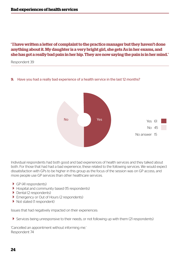## **' I have written a letter of complaint to the practice manager but they haven't done anything about it. My daughter is a very bright girl, she gets As in her exams, and she has got a really bad pain in her hip. They are now saying the pain is in her mind.'**

Respondent 39

#### **9.** Have you had a really bad experience of a health service in the last 12 months?



Individual respondents had both good and bad experiences of health services and they talked about both. For those that had had a bad experience, these related to the following services. We would expect dissatisfaction with GPs to be higher in this group as the focus of the session was on GP access, and more people use GP services than other healthcare services.

- GP (41 respondents)
- Hospital and community based (15 respondents)
- Dental (2 respondents)
- ▶ Emergency or Out of Hours (2 respondents)
- Not stated (1 respondent)

Issues that had negatively impacted on their experiences:

Services being unresponsive to their needs, or not following up with them (21 respondents)

'Cancelled an appointment without informing me.' Respondent 74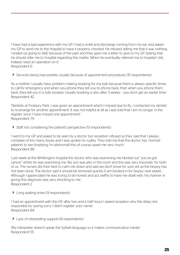'I have had a bad experience with my GP. I had a smell and discharge coming from my ear and asked my GP to send me to the hospital to have it properly checked. He refused, telling me that it was nothing. I ended up going to A&E because of the pain and they gave me a letter to give to my GP stating that he should refer me to hospital regarding this matter. When he eventually referred me to hospital I did, indeed, need an operation on it.' Respondent 6

Services being inaccessible, usually because of appointment procedures (15 respondents)

'As a mother I usually have problem making booking for my kids because there is always specific times to call for emergency and when you phone they tell you to phone back, then when you phone them back, they tell you it is fully booked. Usually booking is also after 3 weeks – you don't get an earlier time.' Respondent 42

'Dentists at Finsbury Park. I was given an appointment which I missed due to flu. I contacted my dentist to re-arrange for another appointment. It was not helpful at all as I was told that I am no longer in the register since I have missed one appointment.' Respondent 79

Staff not considering the patient's perspective (13 respondents)

'I went to my GP and asked to be seen by a doctor but reception refused as they said that I always complain of too many issues and I was spoken to rudely. They told me that the doctor has "normal" patients to see (implying I'm abnormal) this of course upset me very much.' Respondent 89

'Last week at the Whittington hospital the doctor who was examining me blurted out "you've got cancer" whilst he was examining me. My son was also in the room and this was very traumatic for both of us. The nurses did their best to calm me down and said we don't know for sure yet as the biopsy has not been done. The doctor said it should be removed quickly (I am booked in for biopsy next week). Although I appreciated he was trying to be honest and act swiftly to have me dealt with, his manner in giving this diagnosis was very shocking to me.' Respondent 2

▶ Long waiting times (9 respondents)

'I had an appointment with the GP, after two and a half hours I asked reception why the delay she responded by saying sorry I didn't register your name.' Respondent 84

▶ Lack of interpreting support (8 respondents)

'My interpreter doesn't speak the Sylheti language so it makes communication harder.' Respondent 55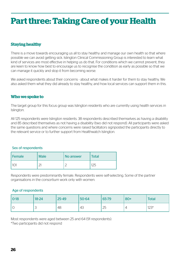## **Part three: Taking Care of your Health**

## **Staying healthy**

There is a move towards encouraging us all to stay healthy and manage our own health so that where possible we can avoid getting sick. Islington Clinical Commissioning Group is interested to learn what kind of services are most effective in helping us do that. For conditions which we cannot prevent, they are keen to know how best to encourage us to recognise the condition as early as possible so that we can manage it quickly and stop it from becoming worse.

We asked respondents about their concerns - about what makes it harder for them to stay healthy. We also asked them what they did already to stay healthy, and how local services can support them in this.

## **Who we spoke to**

The target group for this focus group was Islington residents who are currently using health services in Islington.

All 125 respondents were Islington residents. 38 respondents described themselves as having a disability and 85 described themselves as not having a disability (two did not respond). All participants were asked the same questions and where concerns were raised facilitators signposted the participants directly to the relevant service or to further support from Healthwatch Islington.

#### Sex of respondents

| Female | <b>Male</b> | i No answer | <b>Total</b> |
|--------|-------------|-------------|--------------|
|        | $\sim$      |             | 1つに          |

Respondents were predominantly female. Respondents were self-selecting. Some of the partner organisations in the consortium work only with women.

#### Age of respondents

| $ 0-18$                 | 18-24 | 25-49 | 50-64 | 65-79 | $80+$          | <b>Total</b> |
|-------------------------|-------|-------|-------|-------|----------------|--------------|
| $\curvearrowright$<br>◡ | ٮ     | 48    | 43    | 25    | $\overline{a}$ | $123*$       |

Most respondents were aged between 25 and 64 (91 respondents).

\*Two participants did not respond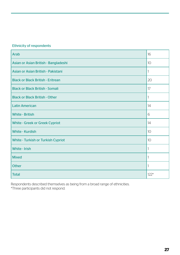## Ethnicity of respondents

| <b>Arab</b>                               | 16     |
|-------------------------------------------|--------|
| Asian or Asian British - Bangladeshi      | 10     |
| Asian or Asian British - Pakistani        | 1      |
| <b>Black or Black British - Eritrean</b>  | 20     |
| <b>Black or Black British - Somali</b>    | 17     |
| <b>Black or Black British - Other</b>     | 1      |
| <b>Latin American</b>                     | 14     |
| <b>White - British</b>                    | 6      |
| <b>White - Greek or Greek Cypriot</b>     | 14     |
| <b>White - Kurdish</b>                    | 10     |
| <b>White - Turkish or Turkish Cypriot</b> | 10     |
| <b>White - Irish</b>                      | 1      |
| <b>Mixed</b>                              | 1      |
| <b>Other</b>                              | 1      |
| <b>Total</b>                              | $122*$ |

Respondents described themselves as being from a broad range of ethnicities. \*Three participants did not respond.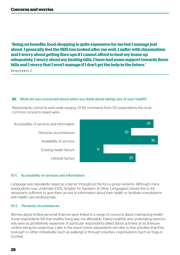## **' Being on benefits, food shopping is quite expensive for me but I manage just about. I generally feel the NHS has looked after me well. I suffer with rheumatism and I worry about getting flare ups if I cannot afford to heat my home up adequately. I worry about my heating bills. I have had some support towards these bills and I worry that I won't manage if I don't get the help in the future.'**

Respondent 2

#### **10.** What are you concerned about when you think about taking care of your health?

Respondents concerns were wide-ranging. Of 161 comments from 125 respondents the most common concerns raised were:



#### 10-1. Accessibility of services and information

Language was repeatedly raised as a barrier throughout the focus group sessions. Although many respondents may undertake ESOL (English for Speakers of Other Languages) classes this is not necessarily sufficient to give them access to information about their health or facilitate consultations with health care professionals.

#### 10-2. Personal circumstances.

Worries about limited personal finances were linked to a range of concerns about maintaining health. Some respondents felt that healthy living was not affordable. Eating healthily and undertaking exercise was seen as prohibitively expensive. In particular respondents talked about activities at local leisure centres being too expensive. Later in the report some respondents did refer to free activities that they took part in, either individually (such as walking) or through voluntary organisations (such as Yoga or Zumba).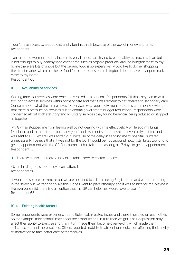'I don't have access to a good diet and vitamins, this is because of the lack of money and time.' Respondent 113

'I am a retired woman and my income is very limited. I am trying to eat healthy as much as I can but it is not enough to buy healthy food every time such as organic products. Around Islington close to my home there are lots of shops but the organic food is so expensive. I would like to do my shopping in the street market which has better food for better prices but in Islington I do not have any open market close to my home.'

Respondent 68

#### 10-3. Availability of services

Waiting times for services were repeatedly raised as a concern. Respondents felt that they had to wait too long to access services within primary care and that it was difficult to get referrals to secondary care. Concern about what the future holds for services was repeatedly mentioned. It is common knowledge that there is pressure on services due to central government budget reductions. Respondents were concerned about both statutory and voluntary services they found beneficial being reduced or stopped all together

'My GP has stopped me from feeling well by not dealing with me effectively. A while ago my lungs felt closed and this carried on for many years and I was not sent to hospital. I eventually insisted and was sent to UCH where I was sorted out. Because of the delay in sending me to hospital I suffered unnecessarily. I believe that if it was not for the UCH I would be housebound now. It still takes too long to get an appointment with the GP. For example it has taken me as long as 17 days to get an appointment.' Respondent 13

There was also a perceived lack of suitable exercise related services:

'Gyms in Islington is too pricey I can't afford it!' Respondent 50

'It would be so nice to exercise but we are not used to it. I am seeing English men and women running in the street but we cannot do like this. Once I went to physiotherapy and it was so nice for me. Maybe if like everyone said, there is gym option that my GP can help me I would love to use it.' Respondent 63

### 10-4. Existing health factors

Some respondents were experiencing multiple health-related issues and these impacted on each other. So for example, their arthritis may affect their mobility and in turn their weight. Their depression may affect their ability to exercise and this in turn made them become overweight, which made them self-conscious and more isolated. Others reported mobility, treatment or medication affecting their ability or motivation to take better care of themselves.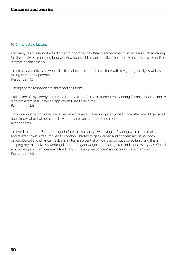#### 10-5. Lifestyle factors

For many respondents it was difficult to prioritise their health above other routine tasks such as caring for the family or managing long working hours. This made it difficult for them to exercise, relax and/ or prepare healthy meals.

'I can't stay as active as I would like firstly because I don't have time with my young family as well as taking care of my parents.' Respondent 55

Though some respondents did report solutions:

'I take care of my elderly parents so I spend a lot of time at home. I enjoy doing Zumba at home and try different exercises! I have an app which I use to help me.' Respondent 55

'I worry about getting older because I'm alone and I have not got anyone to look after me. If I get sick I don't know what I will do especially as services are cut more and more.' Respondent 8

'I moved to London 6 months ago, before this busy city I was living in Reading which is a small and relaxed town. After I moved to London I started to get worried and concern about my both psychological and physical health. Islington is so central which is good but also so busy and this is keeping my mind always working. I started to gain weight and feeling tired and alone every day. Since I am working also I am generally tired. This is making me concern about taking care of myself.' Respondent 69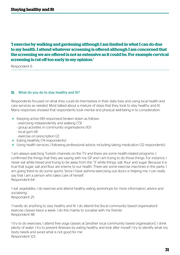## **'I exercise by walking and gardening although I am limited in what I can do due to my health. I attend whatever screening is offered although I am concerned that the screening we are offered is not as extensive as it could be. For example cervical screening is cut off too early in my opinion.'**

Respondent 6

#### **11.** What do you do to stay healthy and fit?

Respondents focused on what they could do themselves in their daily lives and using local health and care services as needed. Most talked about a mixture of steps that they took to stay healthy and fit. Many responses showed that respondents took mental and physical well-being in to consideration.

- $\triangleright$  Keeping active (89 responses) broken down as follows:
	- exercising independently and walking (73)
	- group activities in community organisations (10)
	- local gym (4)
	- exercise on prescription (2)
- Eating healthily (74 respondents)
- Using health services / following professional advice, including taking medication (32 respondents)

'I am always watching Turkish channels on the TV and there are some health-related programs. I confirmed the things that they are saying with my GP and I am trying to do those things. For instance, I never eat white bread and trying to be away from the "3" white things: salt, flour and sugar. Because it is true that sugar, salt and flour are enemy to our health. There are some exercise machines in the parks. I am going there to do some sports. Since I have asthma exercising out doors is helping me. I can really say that I am a person who takes care of herself.' Respondent 64

'I eat vegetables, I do exercise and attend healthy eating workshops for more information, advice and socialising.' Respondent 25

'I hardly do anything to stay healthy and fit. I do attend the [local community based organisation] exercise classes twice a week. I do this mainly to socialise with my friends.' Respondent 48

'I try to do exercises; I attend free yoga classes at [another local community based organisation]. I drink plenty of water. I try to prevent illnesses by eating healthy and look after myself. I try to identify what my body needs and avoid what is not good for me.' Respondent 123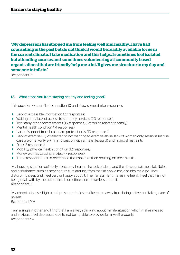**' My depression has stopped me from feeling well and healthy. I have had counselling in the past but do not think it would be readily available to me in the current climate. I take medication and this helps. I sometimes feel isolated but attending courses and sometimes volunteering at [community based organisations] that are friendly help me a lot. It gives me structure to my day and someone to talk to.'**

Respondent 2

#### **12.** What stops you from staying healthy and feeling good?

This question was similar to question 10 and drew some similar responses.

- Lack of accessible information (27 responses)
- Waiting time/ lack of access to statutory services (20 responses)
- $\triangleright$  Too many other commitments (15 responses, 8 of which related to family)
- Mental health condition (14 responses)
- **Lack of support from healthcare professionals (10 responses)**
- Lack of exercise (13) connected to not wanting to exercise alone, lack of women-only sessions (in one case a women-only swimming session with a male lifeguard) and financial restraints
- Diet (13 responses)
- Mobility/ physical health condition (12 responses)
- Money worries causing anxiety (7 responses)
- Three respondents also referenced the impact of their housing on their health.

'My housing situation definitely affects my health. The lack of sleep and the stress upset me a lot. Noise and disturbance such as moving furniture around, from the flat above me, disturbs me a lot. They disturb my sleep and I feel very unhappy about it. The harrassment makes me feel ill. I feel that it is not being dealt with by the authorities. I sometimes feel powerless about it. Respondent 3

'My chronic disease: high blood pressure, cholesterol keep me away from being active and taking care of myself.' Respondent 103

'I am a single mother and I find that I am always thinking about my life situation which makes me sad and anxious. I feel depressed due to not being able to provide for myself properly.' Respondent 94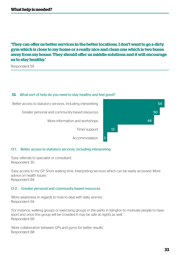## **'They can offer us better services in the better locations. I don't want to go a dirty gym which is close to my home or a really nice and clean one which is two buses away from my house. They should offer us middle solutions and it will encourage us to stay healthy.'**

Respondent 59

#### **13.** What sort of help do you need to stay healthy and feel good?



#### 13-1. Better access to statutory services, including interpreting

'Easy referrals to specialist or consultant.' Respondent 30

'Easy access to my GP. Short waiting time. Interpreting services which can be easily accessed. More advice on health issues.' Respondent 84

#### 13-2. Greater personal and community-based resources

'More awareness in regards to how to deal with daily worries.' Respondent 94

'For instance, walking groups or exercising groups in the parks in Islington to motivate people to have sport and since this group will be crowded it may be safe at nights as well.' Respondent 69

'More collaboration between GPs and gyms for better results.' Respondent 88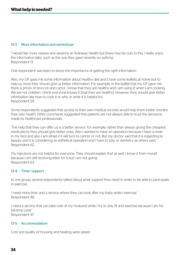#### 13-3. More information and workshops

'I would like more classes and sessions at Holloway Health but there may be cuts to this. I really enjoy the informative talks, such as the one they gave recently on asthma.' Respondent 13

One respondent was keen to stress the importance of getting the *right* information.

'Also, my GP gave me some information about healthy diet and I have some leaflets at home but to help us more they should give us better information. For example, in the leaflet that my GP gave me there is photo of broccoli and carrot. I know that they are healthy and I am using it when I am cooking. We are not children. I think everyone knows it [that they are healthy]. However, they should give better information like how to cook it or why or what it is helpful for.' Respondent 59

Some respondents suggested that access to their own medical records would help them better monitor their own health. Other comments suggested that patients are not always able to trust the decisions made by healthcare professionals.

'The help that they can offer us is a better service. For example, rather than always giving the cheapest medications they should give better ones. Also I wanted to have an operation because I have a mole in my face and also I am afraid if it will turn to cancer or not. But my doctor said that it is regarding to beauty and it is considering as esthetical operation and I have to pay, or dentistry as others said.' Respondent 62

'Flu injections are not helpful for everyone. They should explain that as well. I know it from myself because I am still receiving letter for it but I am not going.' Respondent 63

#### 13-4. Time/ support

In one group, several respondents talked about what support they need in order to be able to participate in exercise.

'I need more time, and a service where they can look after my baby while I exercise.' Respondent 46

'I need a service that can take care of my husband while I try to stay fit and exercise because I am his full-time carer.' Respondent 47

#### 13-5. Accommodation

Cost and quality of housing and heating were raised.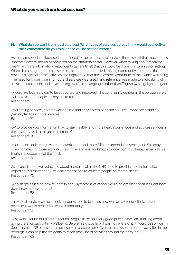#### **14.** What do you want from local services? What types of services do you think would best deliver this? Who/where do you think these will be best delivered?

As many respondents focussed on the need for better access to services they also felt that much of this improved access should be focussed on the statutory sector. However, when talking about receiving health and care information respondents generally felt that this could be done in a community setting. When discussing non-medical services, respondents identified existing community centres as the obvious places for these activities and highlighted that these centres contribute to their wider well-being. The need for longer opening hours of services was raised, and reference was made to affordability of activities. Information and advice being available in languages other than English was highlighted again.

'I would like local services to be supported and improved. The community centres in the borough are a lifeline to a lot of people as they are to me.' Respondent 3

'Interpreting services, shorter waiting time and easy access of health services. I want see scanning [testing] facilities in local centres.' Respondent 77

'GP to provide you information how to stay healthy and more health workshops and advices services in the local area will make great difference.' Respondent 26

'Information and raising awareness workshops and more GPs to support late evening and Saturday opening times for those working. Raising awareness workshops to local communities especially those English language is not their first.' Respondent 36

'As a carer I'm not well educated about mental health. The NHS need to provide more information regarding this matter and use local organisation to educate people on mental health.' Respondent 45

'Workshops based on how to identify early symptoms of cancer would be excellent because right now I don't know any symptoms!' Respondent 52

'If my local service can hold cooking workshops to teach us how we can cook our ethnic cuisine healthier it would benefit the whole community.' Respondent 55

'Last week I found out a centre that has yoga classes for really good prices. Now I am thinking about going there for support my wellbeing. Before I saw it by luck, I was not aware of it. It would be so nice if a department in GP or any other local service prepare some flyers or a newspaper for the activities in the borough. It can help the residents to reach that kind of activities around the borough.' Respondent 69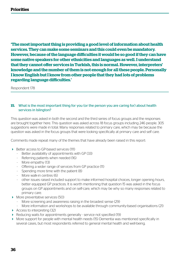## **Priorities**

**'The most important thing is providing a good level of information about health services. They can make some seminars and this could even be mandatory. However, because of the language difficulties it would be so good if they can have some native speakers for other ethnicities and languages as well. I understand that they cannot offer services in Turkish, this is normal. However, interpreters' knowledge and the number of them is not enough for all these people. Personally I know English but I know from other people that they had lots of problems regarding language difficulties.'**

Respondent 178

#### **15.** What is the most important thing for you (or the person you are caring for) about health services in Islington?

This question was asked in both the second and the third series of focus groups and the responses are brought together here. This question was asked across 18 focus groups including 246 people. 305 suggestions were made in total. Many responses related to primary care, which may be because the question was asked in the focus groups that were looking specifically at primary care and self care.

Comments made repeat many of the themes that have already been raised in this report:

- ▶ Better access to GP-based services (111)
	- Better availability of appointments with GP (33)
	- Referring patients when needed (16)
	- More empathy (13)
	- Offering a wider range of services from GP practice (11)
	- Spending more time with the patient (8)
	- More walk-in centres (6)
	- other issues raised included support to make informed hospital choices, longer opening hours, better equipped GP practices. It is worth mentioning that question 15 was asked in the focus groups on GP appointments and on self-care, which may be why so many responses related to primary care.
- More preventative services (50)
	- More screening and awareness raising in the broadest sense (29)
	- More information and workshops to be available through community-based organisations (21)
- Access to interpreting (32)
- ▶ Reducing waits for appointments generally service not specified (19)
- More support for people with mental health needs (15) Dementia was mentioned specifically in several cases, but most respondents referred to general mental health and well-being.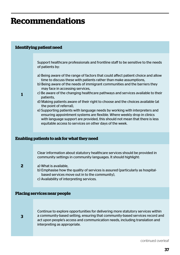## **Recommendations**

#### **Identifying patient need**

Support healthcare professionals and frontline staff to be sensitive to the needs of patients by:

- a) Being aware of the range of factors that could affect patient choice and allow time to discuss these with patients rather than make assumptions,
- b) Being aware of the needs of immigrant communities and the barriers they may face in accessing services,
- c) Be aware of the changing healthcare pathways and services available to their patients,
- d) Making patients aware of their right to choose and the choices available (at the point of referral),
- e) Supporting patients with language needs by working with interpreters and ensuring appointment systems are flexible. Where weekly drop in clinics with language support are provided, this should not mean that there is less equitable access to services on other days of the week.

#### **Enabling patients to ask for what they need**

Clear information about statutory healthcare services should be provided in community settings in community languages. It should highlight:

**2**

**1**

- a) What is available,
	- b) Emphasise how the quality of services is assured (particularly as hospitalbased services move out in to the community),
	- c) Availability of interpreting services.

#### **Placing services near people**

**3**

Continue to explore opportunities for delivering more statutory services within a community-based setting, ensuring that community-based services record and act upon people's access and communication needs, including translation and interpreting as appropriate.

continued overleaf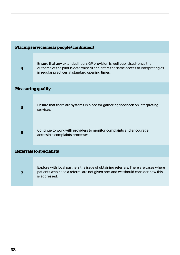| Placing services near people (continued) |                                                                                                                                                                                                                  |
|------------------------------------------|------------------------------------------------------------------------------------------------------------------------------------------------------------------------------------------------------------------|
| 4                                        | Ensure that any extended hours GP provision is well publicised (once the<br>outcome of the pilot is determined) and offers the same access to interpreting as<br>in regular practices at standard opening times. |
| <b>Measuring quality</b>                 |                                                                                                                                                                                                                  |
| 5                                        | Ensure that there are systems in place for gathering feedback on interpreting<br>services.                                                                                                                       |
| 6                                        | Continue to work with providers to monitor complaints and encourage<br>accessible complaints processes.                                                                                                          |
| <b>Referrals to specialists</b>          |                                                                                                                                                                                                                  |
| 7                                        | Explore with local partners the issue of obtaining referrals. There are cases where<br>patients who need a referral are not given one, and we should consider how this<br>is addressed.                          |